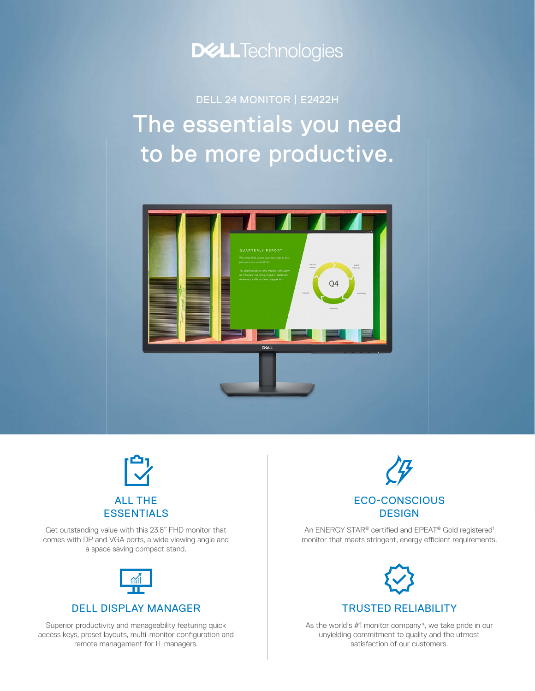

The essentials you need to be more productive. DELL 24 MONITOR | E2422H





Get outstanding value with this 23.8" FHD monitor that comes with DP and VGA ports, a wide viewing angle and a space saving compact stand.



### DELL DISPLAY MANAGER

Superior productivity and manageability featuring quick access keys, preset layouts, multi-monitor configuration and remote management for IT managers.



An ENERGY STAR® certified and EPEAT® Gold registered<sup>1</sup> monitor that meets stringent, energy efficient requirements.



TRUSTED RELIABILITY

As the world's #1 monitor company\*, we take pride in our unyielding commitment to quality and the utmost satisfaction of our customers.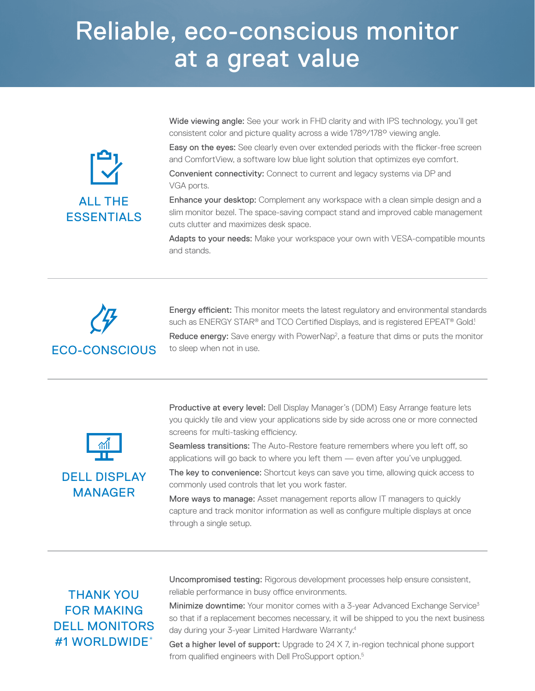# Reliable, eco-conscious monitor at a great value



Wide viewing angle: See your work in FHD clarity and with IPS technology, you'll get consistent color and picture quality across a wide 178°/178° viewing angle.

Easy on the eyes: See clearly even over extended periods with the flicker-free screen and ComfortView, a software low blue light solution that optimizes eye comfort.

Convenient connectivity: Connect to current and legacy systems via DP and VGA ports.

Enhance your desktop: Complement any workspace with a clean simple design and a slim monitor bezel. The space-saving compact stand and improved cable management cuts clutter and maximizes desk space.

Adapts to your needs: Make your workspace your own with VESA-compatible mounts and stands.



Energy efficient: This monitor meets the latest regulatory and environmental standards such as ENERGY STAR® and TCO Certified Displays, and is registered EPEAT® Gold! Reduce energy: Save energy with PowerNap<sup>2</sup>, a feature that dims or puts the monitor



DELL DISPLAY MANAGER

Productive at every level: Dell Display Manager's (DDM) Easy Arrange feature lets you quickly tile and view your applications side by side across one or more connected screens for multi-tasking efficiency.

Seamless transitions: The Auto-Restore feature remembers where you left off, so applications will go back to where you left them — even after you've unplugged.

The key to convenience: Shortcut keys can save you time, allowing quick access to commonly used controls that let you work faster.

More ways to manage: Asset management reports allow IT managers to quickly capture and track monitor information as well as configure multiple displays at once through a single setup.

## THANK YOU FOR MAKING DELL MONITORS #1 WORLDWIDE\*

Uncompromised testing: Rigorous development processes help ensure consistent, reliable performance in busy office environments.

Minimize downtime: Your monitor comes with a 3-year Advanced Exchange Service<sup>3</sup> so that if a replacement becomes necessary, it will be shipped to you the next business day during your 3-year Limited Hardware Warranty.4

Get a higher level of support: Upgrade to  $24 \times 7$ , in-region technical phone support from qualified engineers with Dell ProSupport option.<sup>5</sup>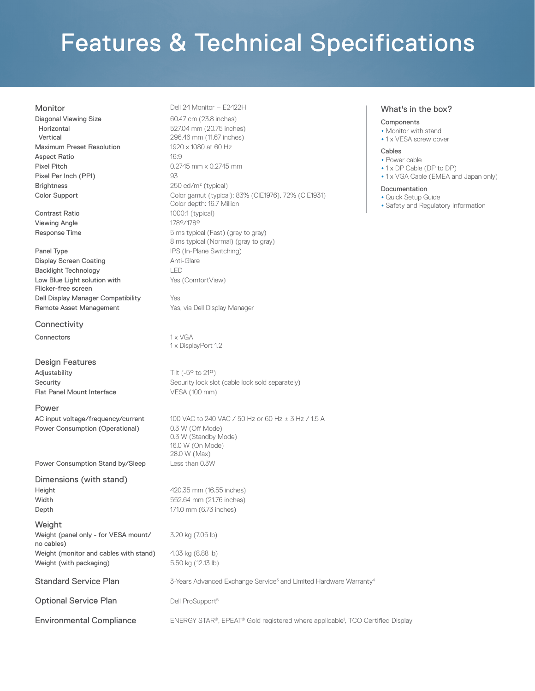# Features & Technical Specifications

Diagonal Viewing Size **60.47** cm (23.8 inches) Horizontal Vertical Maximum Preset Resolution 1920 x 1080 at 60 Hz Aspect Ratio 16:9 Pixel Pitch 0.2745 mm x 0.2745 mm Pixel Per Inch (PPI) 93 Brightness 250 cd/m<sup>2</sup> (typical)

Contrast Ratio 1000:1 (typical) Viewing Angle 178°/178°

Panel Type **IPS** (In-Plane Switching) Display Screen Coating **Anti-Glare** Anti-Glare Backlight Technology LED Low Blue Light solution with Flicker-free screen Dell Display Manager Compatibility Yes Remote Asset Management Yes, via Dell Display Manager

**Connectivity** 

Connectors 1 x VGA

Design Features Adjustability Tilt (-5<sup>o</sup> to 21<sup>o</sup>) Flat Panel Mount Interface VESA (100 mm)

#### Power

Power Consumption (Operational) 0.3 W (Off Mode)

Power Consumption Stand by/Sleep Less than 0.3W

Dimensions (with stand) **Height 420.35 mm** (16.55 inches) Width 552.64 mm (21.76 inches) **Depth** 171.0 mm (6.73 inches)

Weight

Weight (panel only - for VESA mount/ no cables) Weight (monitor and cables with stand) 4.03 kg (8.88 lb) Weight (with packaging) 6.50 kg (12.13 lb)

Standard Service Plan 3-Years Advanced Exchange Service<sup>3</sup> and Limited Hardware Warranty<sup>4</sup>

Optional Service Plan Dell ProSupport<sup>5</sup>

Monitor Dell 24 Monitor – E2422H

527.04 mm (20.75 inches) 296.46 mm (11.67 inches) Color Support Color gamut (typical): 83% (CIE1976), 72% (CIE1931) Color depth: 16.7 Million Response Time **Films** 5 ms typical (Fast) (gray to gray) 8 ms typical (Normal) (gray to gray) Yes (ComfortView)

1 x DisplayPort 1.2

Security Security lock slot (cable lock sold separately)

AC input voltage/frequency/current  $100$  VAC to 240 VAC / 50 Hz or 60 Hz  $\pm$  3 Hz / 1.5 A 0.3 W (Standby Mode) 16.0 W (On Mode) 28.0 W (Max)

3.20 kg (7.05 lb)

Environmental Compliance **ENERGY STAR®**, EPEAT® Gold registered where applicable<sup>1</sup>, TCO Certified Display

#### What's in the box?

#### **Components**

- Monitor with stand
- •1 x VESA screw cover

#### Cables

- Power cable
- •1 x DP Cable (DP to DP)
- •1 x VGA Cable (EMEA and Japan only)

#### Documentation

- Quick Setup Guide
- Safety and Regulatory Information